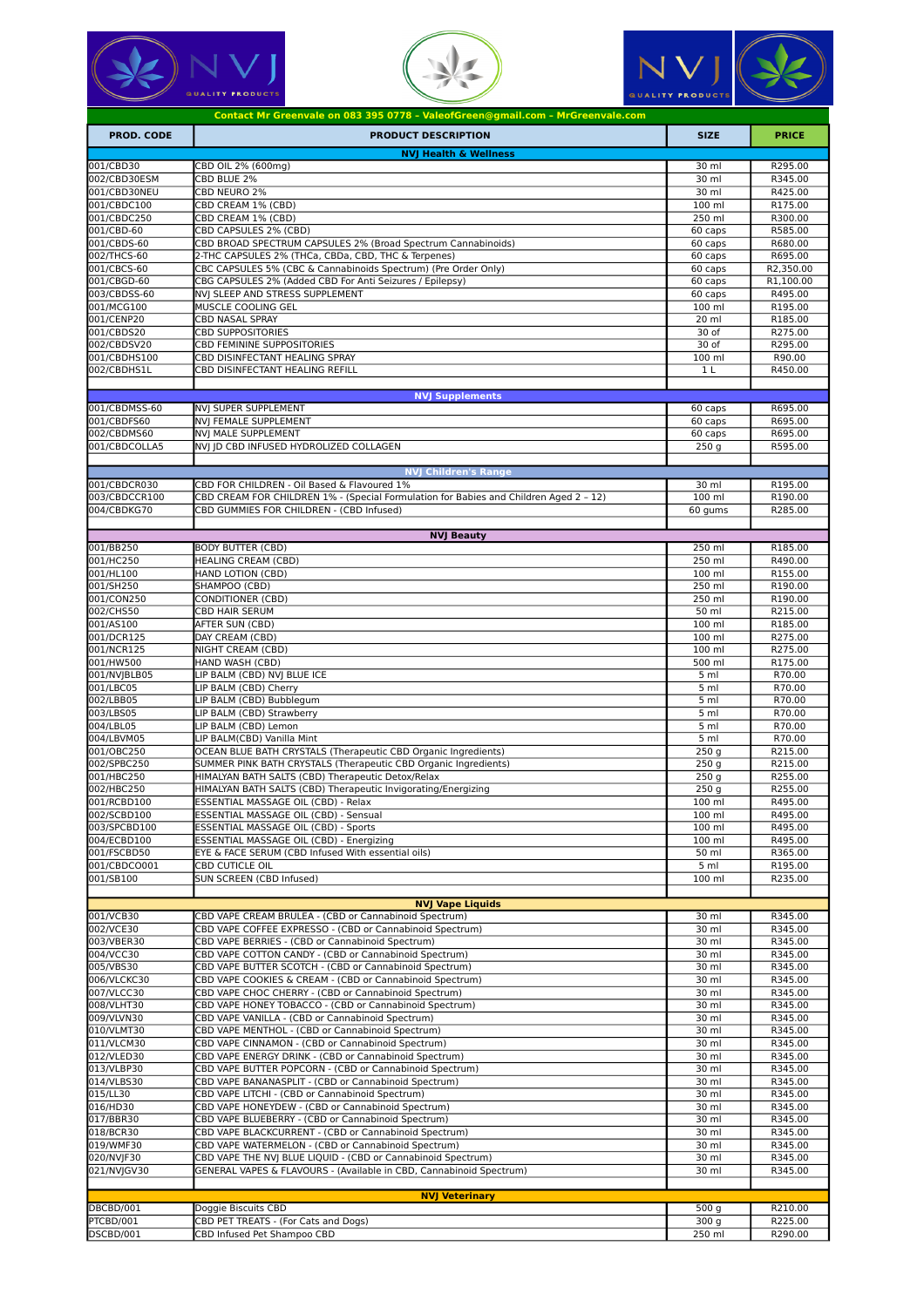





|                             | Contact Mr Greenvale on 083 395 0778 - ValeofGreen@gmail.com - MrGreenvale.com                                  |                          |                    |
|-----------------------------|-----------------------------------------------------------------------------------------------------------------|--------------------------|--------------------|
| <b>PROD. CODE</b>           | <b>PRODUCT DESCRIPTION</b>                                                                                      | <b>SIZE</b>              | <b>PRICE</b>       |
|                             | <b>NVJ Health &amp; Wellness</b>                                                                                |                          |                    |
| 001/CBD30<br>002/CBD30ESM   | CBD OIL 2% (600mg)<br>CBD BLUE 2%                                                                               | 30 ml<br>30 ml           | R295.00<br>R345.00 |
| 001/CBD30NEU                | CBD NEURO 2%                                                                                                    | 30 ml                    | R425.00            |
| 001/CBDC100                 | CBD CREAM 1% (CBD)                                                                                              | 100 ml                   | R175.00            |
| 001/CBDC250                 | CBD CREAM 1% (CBD)                                                                                              | 250 ml                   | R300.00            |
| 001/CBD-60<br>001/CBDS-60   | CBD CAPSULES 2% (CBD)<br>CBD BROAD SPECTRUM CAPSULES 2% (Broad Spectrum Cannabinoids)                           | 60 caps<br>60 caps       | R585.00<br>R680.00 |
| 002/THCS-60                 | 2-THC CAPSULES 2% (THCa, CBDa, CBD, THC & Terpenes)                                                             | 60 caps                  | R695.00            |
| 001/CBCS-60                 | CBC CAPSULES 5% (CBC & Cannabinoids Spectrum) (Pre Order Only)                                                  | 60 caps                  | R2,350.00          |
| 001/CBGD-60                 | CBG CAPSULES 2% (Added CBD For Anti Seizures / Epilepsy)                                                        | 60 caps                  | R1,100.00          |
| 003/CBDSS-60                | NVI SLEEP AND STRESS SUPPLEMENT                                                                                 | 60 caps                  | R495.00            |
| 001/MCG100<br>001/CENP20    | MUSCLE COOLING GEL<br>CBD NASAL SPRAY                                                                           | 100 ml<br>20 ml          | R195.00<br>R185.00 |
| 001/CBDS20                  | CBD SUPPOSITORIES                                                                                               | 30 of                    | R275.00            |
| 002/CBDSV20                 | CBD FEMININE SUPPOSITORIES                                                                                      | 30 of                    | R295.00            |
| 001/CBDHS100                | CBD DISINFECTANT HEALING SPRAY                                                                                  | 100 ml                   | R90.00             |
| 002/CBDHS1L                 | CBD DISINFECTANT HEALING REFILL                                                                                 | 1 <sub>L</sub>           | R450.00            |
|                             | <b>NVJ Supplements</b>                                                                                          |                          |                    |
| 001/CBDMSS-60               | NVI SUPER SUPPLEMENT                                                                                            | 60 caps                  | R695.00            |
| 001/CBDFS60<br>002/CBDMS60  | NVJ FEMALE SUPPLEMENT<br>NVJ MALE SUPPLEMENT                                                                    | 60 caps<br>60 caps       | R695.00<br>R695.00 |
| 001/CBDCOLLA5               | NVJ JD CBD INFUSED HYDROLIZED COLLAGEN                                                                          | 250 <sub>g</sub>         | R595.00            |
|                             | <b>NVJ Children's Range</b>                                                                                     |                          |                    |
| 001/CBDCR030                | CBD FOR CHILDREN - Oil Based & Flavoured 1%                                                                     | 30 ml                    | R195.00            |
| 003/CBDCCR100               | CBD CREAM FOR CHILDREN 1% - (Special Formulation for Babies and Children Aged 2 - 12)                           | 100 ml                   | R190.00            |
| 004/CBDKG70                 | CBD GUMMIES FOR CHILDREN - (CBD Infused)                                                                        | 60 gums                  | R285.00            |
|                             | <b>NVJ Beauty</b>                                                                                               |                          |                    |
| 001/BB250                   | <b>BODY BUTTER (CBD)</b>                                                                                        | 250 ml                   | R185.00            |
| 001/HC250                   | <b>HEALING CREAM (CBD)</b>                                                                                      | 250 ml                   | R490.00            |
| 001/HL100<br>001/SH250      | HAND LOTION (CBD)<br>SHAMPOO (CBD)                                                                              | 100 ml<br>250 ml         | R155.00<br>R190.00 |
| 001/CON250                  | CONDITIONER (CBD)                                                                                               | 250 ml                   | R190.00            |
| 002/CHS50                   | CBD HAIR SERUM                                                                                                  | 50 ml                    | R215.00            |
| 001/AS100                   | AFTER SUN (CBD)                                                                                                 | 100 ml                   | R185.00            |
| 001/DCR125                  | DAY CREAM (CBD)                                                                                                 | 100 ml                   | R275.00            |
| 001/NCR125                  | NIGHT CREAM (CBD)                                                                                               | 100 ml                   | R275.00            |
| 001/HW500<br>001/NVJBLB05   | HAND WASH (CBD)<br>LIP BALM (CBD) NVJ BLUE ICE                                                                  | 500 ml<br>5 <sub>m</sub> | R175.00<br>R70.00  |
| 001/LBC05                   | LIP BALM (CBD) Cherry                                                                                           | 5 ml                     | R70.00             |
| 002/LBB05                   | LIP BALM (CBD) Bubblegum                                                                                        | 5 ml                     | R70.00             |
| 003/LBS05                   | LIP BALM (CBD) Strawberry                                                                                       | 5 <sub>m1</sub>          | R70.00             |
| 004/LBL05                   | LIP BALM (CBD) Lemon                                                                                            | 5 <sub>m</sub>           | R70.00             |
| 004/LBVM05<br>001/OBC250    | LIP BALM(CBD) Vanilla Mint<br>OCEAN BLUE BATH CRYSTALS (Therapeutic CBD Organic Ingredients)                    | 5 ml<br>250 <sub>g</sub> | R70.00<br>R215.00  |
| 002/SPBC250                 | SUMMER PINK BATH CRYSTALS (Therapeutic CBD Organic Ingredients)                                                 | 250q                     | R215.00            |
| 001/HBC250                  | HIMALYAN BATH SALTS (CBD) Therapeutic Detox/Relax                                                               | 250 <sub>g</sub>         | R255.00            |
| 002/HBC250                  | HIMALYAN BATH SALTS (CBD) Therapeutic Invigorating/Energizing                                                   | 250 <sub>g</sub>         | R255.00            |
| 001/RCBD100                 | ESSENTIAL MASSAGE OIL (CBD) - Relax                                                                             | 100 ml                   | R495.00            |
| 002/SCBD100<br>003/SPCBD100 | ESSENTIAL MASSAGE OIL (CBD) - Sensual                                                                           | 100 ml<br>100 ml         | R495.00            |
| 004/ECBD100                 | ESSENTIAL MASSAGE OIL (CBD) - Sports<br>ESSENTIAL MASSAGE OIL (CBD) - Energizing                                | $100$ ml                 | R495.00<br>R495.00 |
| 001/FSCBD50                 | EYE & FACE SERUM (CBD Infused With essential oils)                                                              | 50 ml                    | R365.00            |
| 001/CBDCO001                | CBD CUTICLE OIL                                                                                                 | 5 <sub>m1</sub>          | R195.00            |
| 001/SB100                   | SUN SCREEN (CBD Infused)                                                                                        | 100 ml                   | R235.00            |
|                             | <b>NVJ Vape Liquids</b>                                                                                         |                          |                    |
| 001/VCB30                   | CBD VAPE CREAM BRULEA - (CBD or Cannabinoid Spectrum)                                                           | 30 ml                    | R345.00            |
| 002/VCE30                   | CBD VAPE COFFEE EXPRESSO - (CBD or Cannabinoid Spectrum)                                                        | 30 ml                    | R345.00            |
| 003/VBER30                  | CBD VAPE BERRIES - (CBD or Cannabinoid Spectrum)                                                                | 30 ml                    | R345.00            |
| 004/VCC30<br>005/VBS30      | CBD VAPE COTTON CANDY - (CBD or Cannabinoid Spectrum)<br>CBD VAPE BUTTER SCOTCH - (CBD or Cannabinoid Spectrum) | 30 ml<br>30 ml           | R345.00            |
| 006/VLCKC30                 | CBD VAPE COOKIES & CREAM - (CBD or Cannabinoid Spectrum)                                                        | 30 ml                    | R345.00<br>R345.00 |
| 007/VLCC30                  | CBD VAPE CHOC CHERRY - (CBD or Cannabinoid Spectrum)                                                            | 30 ml                    | R345.00            |
| 008/VLHT30                  | CBD VAPE HONEY TOBACCO - (CBD or Cannabinoid Spectrum)                                                          | 30 ml                    | R345.00            |
| 009/VLVN30                  | CBD VAPE VANILLA - (CBD or Cannabinoid Spectrum)                                                                | 30 ml                    | R345.00            |
| 010/VLMT30<br>011/VLCM30    | CBD VAPE MENTHOL - (CBD or Cannabinoid Spectrum)<br>CBD VAPE CINNAMON - (CBD or Cannabinoid Spectrum)           | 30 ml<br>30 ml           | R345.00<br>R345.00 |
| 012/VLED30                  | CBD VAPE ENERGY DRINK - (CBD or Cannabinoid Spectrum)                                                           | 30 ml                    | R345.00            |
| 013/VLBP30                  | CBD VAPE BUTTER POPCORN - (CBD or Cannabinoid Spectrum)                                                         | 30 ml                    | R345.00            |
| 014/VLBS30                  | CBD VAPE BANANASPLIT - (CBD or Cannabinoid Spectrum)                                                            | 30 ml                    | R345.00            |
| 015/LL30                    | CBD VAPE LITCHI - (CBD or Cannabinoid Spectrum)                                                                 | 30 ml                    | R345.00            |
| 016/HD30                    | CBD VAPE HONEYDEW - (CBD or Cannabinoid Spectrum)                                                               | 30 ml                    | R345.00            |
| 017/BBR30<br>018/BCR30      | CBD VAPE BLUEBERRY - (CBD or Cannabinoid Spectrum)<br>CBD VAPE BLACKCURRENT - (CBD or Cannabinoid Spectrum)     | 30 ml<br>30 ml           | R345.00<br>R345.00 |
| 019/WMF30                   | CBD VAPE WATERMELON - (CBD or Cannabinoid Spectrum)                                                             | 30 ml                    | R345.00            |
| 020/NVJF30                  | CBD VAPE THE NVJ BLUE LIQUID - (CBD or Cannabinoid Spectrum)                                                    | 30 ml                    | R345.00            |
| 021/NVJGV30                 | GENERAL VAPES & FLAVOURS - (Available in CBD, Cannabinoid Spectrum)                                             | 30 ml                    | R345.00            |
|                             | <b>NVJ Veterinary</b>                                                                                           |                          |                    |
| DBCBD/001                   | Doggie Biscuits CBD                                                                                             | 500 <sub>g</sub>         | R210.00            |
| PTCBD/001                   | CBD PET TREATS - (For Cats and Dogs)                                                                            | 300 <sub>g</sub>         | R225.00            |
| DSCBD/001                   | CBD Infused Pet Shampoo CBD                                                                                     | 250 ml                   | R290.00            |